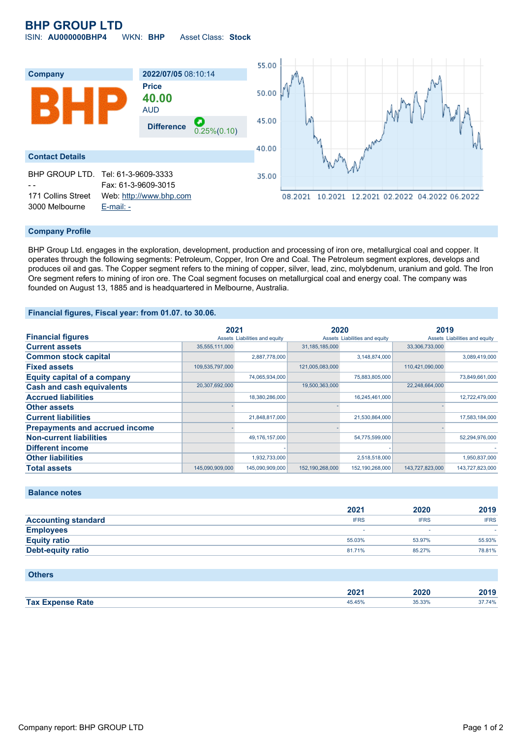# **BHP GROUP LTD**

ISIN: **AU000000BHP4** WKN: **BHP** Asset Class: **Stock**



### **Company Profile**

BHP Group Ltd. engages in the exploration, development, production and processing of iron ore, metallurgical coal and copper. It operates through the following segments: Petroleum, Copper, Iron Ore and Coal. The Petroleum segment explores, develops and produces oil and gas. The Copper segment refers to the mining of copper, silver, lead, zinc, molybdenum, uranium and gold. The Iron Ore segment refers to mining of iron ore. The Coal segment focuses on metallurgical coal and energy coal. The company was founded on August 13, 1885 and is headquartered in Melbourne, Australia.

#### **Financial figures, Fiscal year: from 01.07. to 30.06.**

|                                       | 2021            |                               | 2020              |                               | 2019            |                               |
|---------------------------------------|-----------------|-------------------------------|-------------------|-------------------------------|-----------------|-------------------------------|
| <b>Financial figures</b>              |                 | Assets Liabilities and equity |                   | Assets Liabilities and equity |                 | Assets Liabilities and equity |
| <b>Current assets</b>                 | 35,555,111,000  |                               | 31, 185, 185, 000 |                               | 33,306,733,000  |                               |
| <b>Common stock capital</b>           |                 | 2,887,778,000                 |                   | 3,148,874,000                 |                 | 3,089,419,000                 |
| <b>Fixed assets</b>                   | 109,535,797,000 |                               | 121,005,083,000   |                               | 110,421,090,000 |                               |
| <b>Equity capital of a company</b>    |                 | 74,065,934,000                |                   | 75,883,805,000                |                 | 73,849,661,000                |
| <b>Cash and cash equivalents</b>      | 20,307,692,000  |                               | 19,500,363,000    |                               | 22,248,664,000  |                               |
| <b>Accrued liabilities</b>            |                 | 18,380,286,000                |                   | 16,245,461,000                |                 | 12,722,479,000                |
| <b>Other assets</b>                   |                 |                               |                   |                               |                 |                               |
| <b>Current liabilities</b>            |                 | 21,848,817,000                |                   | 21,530,864,000                |                 | 17,583,184,000                |
| <b>Prepayments and accrued income</b> |                 |                               |                   |                               |                 |                               |
| <b>Non-current liabilities</b>        |                 | 49,176,157,000                |                   | 54,775,599,000                |                 | 52,294,976,000                |
| <b>Different income</b>               |                 |                               |                   |                               |                 |                               |
| <b>Other liabilities</b>              |                 | 1,932,733,000                 |                   | 2,518,518,000                 |                 | 1,950,837,000                 |
| <b>Total assets</b>                   | 145.090.909.000 | 145.090.909.000               | 152,190,268,000   | 152, 190, 268, 000            | 143.727.823.000 | 143.727.823.000               |

## **Balance notes**

|                            | 2021        | 2020        | 2019        |
|----------------------------|-------------|-------------|-------------|
| <b>Accounting standard</b> | <b>IFRS</b> | <b>IFRS</b> | <b>IFRS</b> |
| <b>Employees</b>           |             | ۰           |             |
| <b>Equity ratio</b>        | 55.03%      | 53.97%      | 55.93%      |
| <b>Debt-equity ratio</b>   | 81.71%      | 85.27%      | 78.81%      |

#### **Others**

|                         | ימחה<br>ZUZ ' | 2020 | 2019   |
|-------------------------|---------------|------|--------|
| <b>Tax Expense Rate</b> | 45.45%        | .33% | 37.74% |